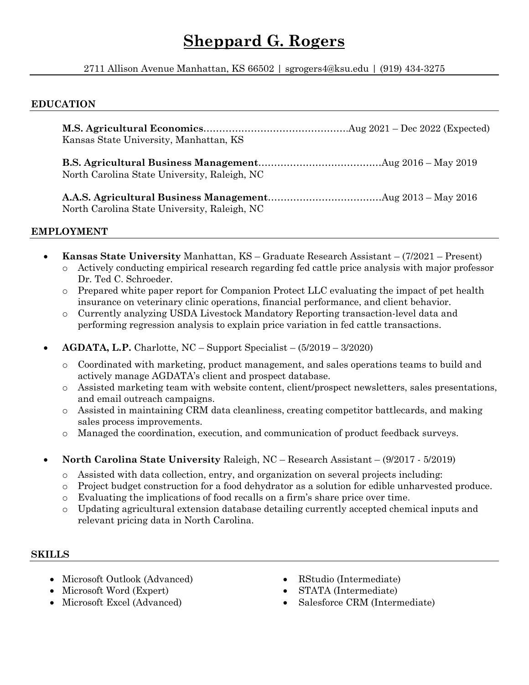# **Sheppard G. Rogers**

2711 Allison Avenue Manhattan, KS 66502 | sgrogers4@ksu.edu | (919) 434-3275

### **EDUCATION**

**M.S. Agricultural Economics**……………………………………….Aug 2021 – Dec 2022 (Expected) Kansas State University, Manhattan, KS **B.S. Agricultural Business Management**…………………………………Aug 2016 – May 2019 North Carolina State University, Raleigh, NC **A.A.S. Agricultural Business Management**………………………………Aug 2013 – May 2016 North Carolina State University, Raleigh, NC

### **EMPLOYMENT**

- **Kansas State University** Manhattan, KS Graduate Research Assistant (7/2021 Present) o Actively conducting empirical research regarding fed cattle price analysis with major professor Dr. Ted C. Schroeder.
	- o Prepared white paper report for Companion Protect LLC evaluating the impact of pet health insurance on veterinary clinic operations, financial performance, and client behavior.
	- o Currently analyzing USDA Livestock Mandatory Reporting transaction-level data and performing regression analysis to explain price variation in fed cattle transactions.
- **AGDATA, L.P.** Charlotte, NC Support Specialist (5/2019 3/2020)
	- o Coordinated with marketing, product management, and sales operations teams to build and actively manage AGDATA's client and prospect database.
	- o Assisted marketing team with website content, client/prospect newsletters, sales presentations, and email outreach campaigns.
	- o Assisted in maintaining CRM data cleanliness, creating competitor battlecards, and making sales process improvements.
	- o Managed the coordination, execution, and communication of product feedback surveys.
- **North Carolina State University** Raleigh, NC Research Assistant (9/2017 5/2019)
	- o Assisted with data collection, entry, and organization on several projects including:
	- o Project budget construction for a food dehydrator as a solution for edible unharvested produce.
	- o Evaluating the implications of food recalls on a firm's share price over time.
	- o Updating agricultural extension database detailing currently accepted chemical inputs and relevant pricing data in North Carolina.

### **SKILLS**

- Microsoft Outlook (Advanced)
- Microsoft Word (Expert)
- Microsoft Excel (Advanced)
- RStudio (Intermediate)
- STATA (Intermediate)
- Salesforce CRM (Intermediate)